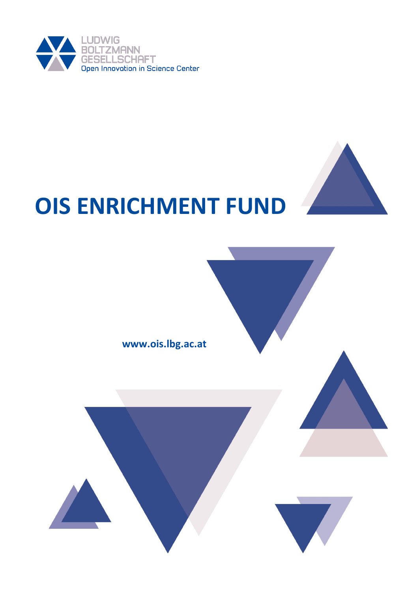

# **OIS ENRICHMENT FUND**

www.ois.lbg.ac.at

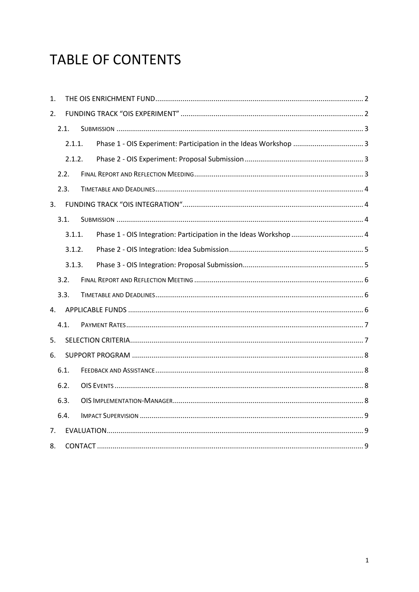# **TABLE OF CONTENTS**

| 1.             |        |  |  |  |  |
|----------------|--------|--|--|--|--|
| 2.             |        |  |  |  |  |
|                | 2.1.   |  |  |  |  |
| 2.1.1.         |        |  |  |  |  |
|                | 2.1.2. |  |  |  |  |
| 2.2.           |        |  |  |  |  |
| 2.3.           |        |  |  |  |  |
| 3 <sub>1</sub> |        |  |  |  |  |
| 3.1.           |        |  |  |  |  |
|                | 3.1.1. |  |  |  |  |
|                | 3.1.2. |  |  |  |  |
| 3.1.3.         |        |  |  |  |  |
| 3.2.           |        |  |  |  |  |
| 3.3.           |        |  |  |  |  |
| 4.             |        |  |  |  |  |
| 4.1.           |        |  |  |  |  |
| 5.             |        |  |  |  |  |
| 6.             |        |  |  |  |  |
| 6.1.           |        |  |  |  |  |
| 6.2.           |        |  |  |  |  |
|                | 6.3.   |  |  |  |  |
|                | 6.4.   |  |  |  |  |
| 7.             |        |  |  |  |  |
| 8.             |        |  |  |  |  |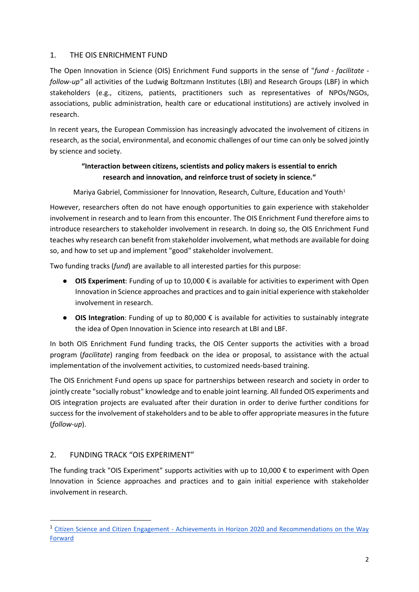#### <span id="page-2-0"></span>1. THE OIS ENRICHMENT FUND

The Open Innovation in Science (OIS) Enrichment Fund supports in the sense of "*fund - facilitate follow-up"* all activities of the Ludwig Boltzmann Institutes (LBI) and Research Groups (LBF) in which stakeholders (e.g., citizens, patients, practitioners such as representatives of NPOs/NGOs, associations, public administration, health care or educational institutions) are actively involved in research.

In recent years, the European Commission has increasingly advocated the involvement of citizens in research, as the social, environmental, and economic challenges of our time can only be solved jointly by science and society.

# **"Interaction between citizens, scientists and policy makers is essential to enrich research and innovation, and reinforce trust of society in science."**

Mariya Gabriel, Commissioner for Innovation, Research, Culture, Education and Youth<sup>1</sup>

However, researchers often do not have enough opportunities to gain experience with stakeholder involvement in research and to learn from this encounter. The OIS Enrichment Fund therefore aims to introduce researchers to stakeholder involvement in research. In doing so, the OIS Enrichment Fund teaches why research can benefit from stakeholder involvement, what methods are available for doing so, and how to set up and implement "good" stakeholder involvement.

Two funding tracks (*fund*) are available to all interested parties for this purpose:

- **OIS Experiment**: Funding of up to 10,000 € is available for activities to experiment with Open Innovation in Science approaches and practices and to gain initial experience with stakeholder involvement in research.
- **OIS Integration**: Funding of up to 80,000 € is available for activities to sustainably integrate the idea of Open Innovation in Science into research at LBI and LBF.

In both OIS Enrichment Fund funding tracks, the OIS Center supports the activities with a broad program (*facilitate*) ranging from feedback on the idea or proposal, to assistance with the actual implementation of the involvement activities, to customized needs-based training.

The OIS Enrichment Fund opens up space for partnerships between research and society in order to jointly create "socially robust" knowledge and to enable joint learning. All funded OIS experiments and OIS integration projects are evaluated after their duration in order to derive further conditions for success for the involvement of stakeholders and to be able to offer appropriate measures in the future (*follow-up*).

# <span id="page-2-1"></span>2. FUNDING TRACK "OIS EXPERIMENT"

l

The funding track "OIS Experiment" supports activities with up to 10,000 € to experiment with Open Innovation in Science approaches and practices and to gain initial experience with stakeholder involvement in research.

<sup>1</sup> Citizen Science and Citizen Engagement - [Achievements in Horizon 2020 and Recommendations on the Way](https://ec.europa.eu/info/sites/default/files/research_and_innovation/research_by_area/documents/ec_rtd_swafs_report-citizen_science.pdf)  [Forward](https://ec.europa.eu/info/sites/default/files/research_and_innovation/research_by_area/documents/ec_rtd_swafs_report-citizen_science.pdf)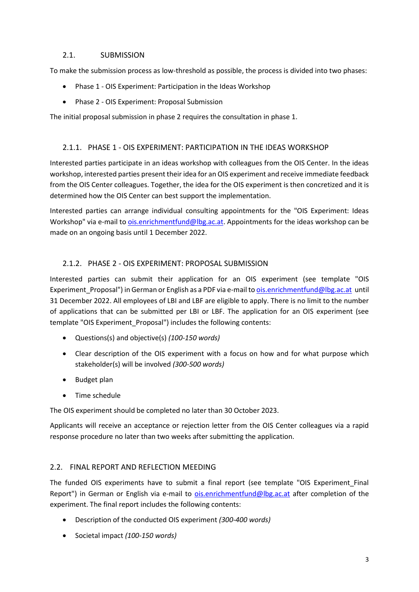#### <span id="page-3-0"></span>2.1. SUBMISSION

To make the submission process as low-threshold as possible, the process is divided into two phases:

- Phase 1 OIS Experiment: Participation in the Ideas Workshop
- Phase 2 OIS Experiment: Proposal Submission

The initial proposal submission in phase 2 requires the consultation in phase 1.

#### <span id="page-3-1"></span>2.1.1. PHASE 1 - OIS EXPERIMENT: PARTICIPATION IN THE IDEAS WORKSHOP

Interested parties participate in an ideas workshop with colleagues from the OIS Center. In the ideas workshop, interested parties present their idea for an OIS experiment and receive immediate feedback from the OIS Center colleagues. Together, the idea for the OIS experiment is then concretized and it is determined how the OIS Center can best support the implementation.

Interested parties can arrange individual consulting appointments for the "OIS Experiment: Ideas Workshop" via e-mail to [ois.enrichmentfund@lbg.ac.at.](mailto:ois.enrichmentfund@lbg.ac.at) Appointments for the ideas workshop can be made on an ongoing basis until 1 December 2022.

# <span id="page-3-2"></span>2.1.2. PHASE 2 - OIS EXPERIMENT: PROPOSAL SUBMISSION

Interested parties can submit their application for an OIS experiment (see template "OIS Experiment\_Proposal") in German or English as a PDF via e-mail t[o ois.enrichmentfund@lbg.ac.at](mailto:ois.enrichmentfund@lbg.ac.at) until 31 December 2022. All employees of LBI and LBF are eligible to apply. There is no limit to the number of applications that can be submitted per LBI or LBF. The application for an OIS experiment (see template "OIS Experiment\_Proposal") includes the following contents:

- Questions(s) and objective(s) *(100-150 words)*
- Clear description of the OIS experiment with a focus on how and for what purpose which stakeholder(s) will be involved *(300-500 words)*
- Budget plan
- Time schedule

The OIS experiment should be completed no later than 30 October 2023.

Applicants will receive an acceptance or rejection letter from the OIS Center colleagues via a rapid response procedure no later than two weeks after submitting the application.

# <span id="page-3-3"></span>2.2. FINAL REPORT AND REFLECTION MEEDING

The funded OIS experiments have to submit a final report (see template "OIS Experiment\_Final Report") in German or English via e-mail to [ois.enrichmentfund@lbg.ac.at](mailto:ois.enrichmentfund@lbg.ac.at) after completion of the experiment. The final report includes the following contents:

- Description of the conducted OIS experiment *(300-400 words)*
- Societal impact *(100-150 words)*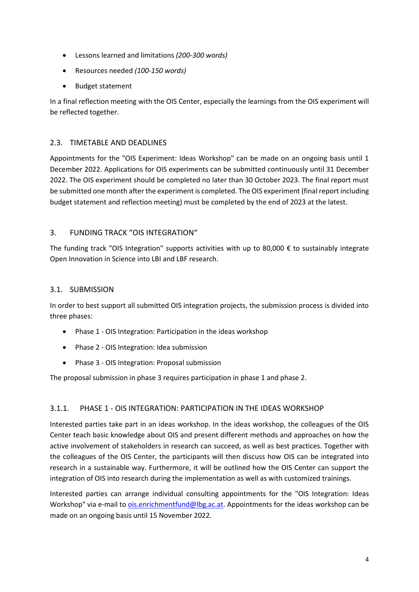- Lessons learned and limitations *(200-300 words)*
- Resources needed *(100-150 words)*
- Budget statement

In a final reflection meeting with the OIS Center, especially the learnings from the OIS experiment will be reflected together.

# <span id="page-4-0"></span>2.3. TIMETABLE AND DEADLINES

Appointments for the "OIS Experiment: Ideas Workshop" can be made on an ongoing basis until 1 December 2022. Applications for OIS experiments can be submitted continuously until 31 December 2022. The OIS experiment should be completed no later than 30 October 2023. The final report must be submitted one month after the experiment is completed. The OIS experiment (final report including budget statement and reflection meeting) must be completed by the end of 2023 at the latest.

#### <span id="page-4-1"></span>3. FUNDING TRACK "OIS INTEGRATION"

The funding track "OIS Integration" supports activities with up to 80,000  $\epsilon$  to sustainably integrate Open Innovation in Science into LBI and LBF research.

#### <span id="page-4-2"></span>3.1. SUBMISSION

In order to best support all submitted OIS integration projects, the submission process is divided into three phases:

- Phase 1 OIS Integration: Participation in the ideas workshop
- Phase 2 OIS Integration: Idea submission
- Phase 3 OIS Integration: Proposal submission

The proposal submission in phase 3 requires participation in phase 1 and phase 2.

# <span id="page-4-3"></span>3.1.1. PHASE 1 - OIS INTEGRATION: PARTICIPATION IN THE IDEAS WORKSHOP

Interested parties take part in an ideas workshop. In the ideas workshop, the colleagues of the OIS Center teach basic knowledge about OIS and present different methods and approaches on how the active involvement of stakeholders in research can succeed, as well as best practices. Together with the colleagues of the OIS Center, the participants will then discuss how OIS can be integrated into research in a sustainable way. Furthermore, it will be outlined how the OIS Center can support the integration of OIS into research during the implementation as well as with customized trainings.

Interested parties can arrange individual consulting appointments for the "OIS Integration: Ideas Workshop" via e-mail to *ois.enrichmentfund@lbg.ac.at.* Appointments for the ideas workshop can be made on an ongoing basis until 15 November 2022.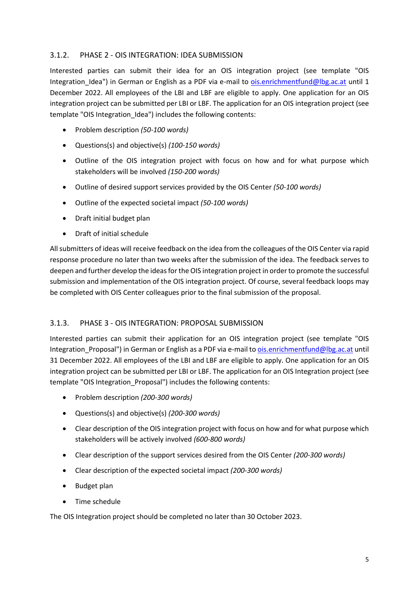#### <span id="page-5-0"></span>3.1.2. PHASE 2 - OIS INTEGRATION: IDEA SUBMISSION

Interested parties can submit their idea for an OIS integration project (see template "OIS Integration Idea") in German or English as a PDF via e-mail to [ois.enrichmentfund@lbg.ac.at](mailto:ois.enrichmentfund@lbg.ac.at) until 1 December 2022. All employees of the LBI and LBF are eligible to apply. One application for an OIS integration project can be submitted per LBI or LBF. The application for an OIS integration project (see template "OIS Integration Idea") includes the following contents:

- Problem description *(50-100 words)*
- Questions(s) and objective(s) *(100-150 words)*
- Outline of the OIS integration project with focus on how and for what purpose which stakeholders will be involved *(150-200 words)*
- Outline of desired support services provided by the OIS Center *(50-100 words)*
- Outline of the expected societal impact *(50-100 words)*
- Draft initial budget plan
- Draft of initial schedule

All submitters of ideas will receive feedback on the idea from the colleagues of the OIS Center via rapid response procedure no later than two weeks after the submission of the idea. The feedback serves to deepen and further develop the ideas for the OIS integration project in order to promote the successful submission and implementation of the OIS integration project. Of course, several feedback loops may be completed with OIS Center colleagues prior to the final submission of the proposal.

#### <span id="page-5-1"></span>3.1.3. PHASE 3 - OIS INTEGRATION: PROPOSAL SUBMISSION

Interested parties can submit their application for an OIS integration project (see template "OIS Integration Proposal") in German or English as a PDF via e-mail to [ois.enrichmentfund@lbg.ac.at](mailto:ois.enrichmentfund@lbg.ac.at) until 31 December 2022. All employees of the LBI and LBF are eligible to apply. One application for an OIS integration project can be submitted per LBI or LBF. The application for an OIS Integration project (see template "OIS Integration\_Proposal") includes the following contents:

- Problem description *(200-300 words)*
- Questions(s) and objective(s) *(200-300 words)*
- Clear description of the OIS integration project with focus on how and for what purpose which stakeholders will be actively involved *(600-800 words)*
- Clear description of the support services desired from the OIS Center *(200-300 words)*
- Clear description of the expected societal impact *(200-300 words)*
- Budget plan
- Time schedule

The OIS Integration project should be completed no later than 30 October 2023.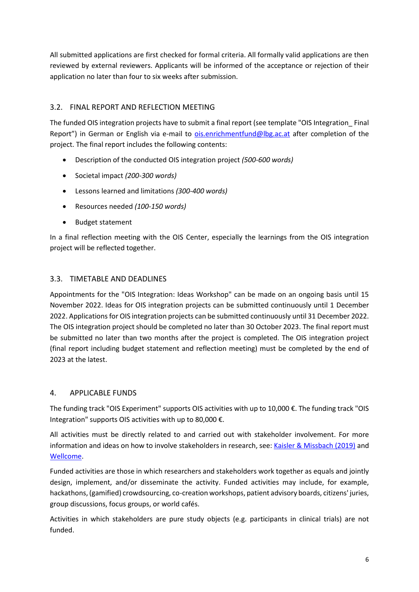All submitted applications are first checked for formal criteria. All formally valid applications are then reviewed by external reviewers. Applicants will be informed of the acceptance or rejection of their application no later than four to six weeks after submission.

# <span id="page-6-0"></span>3.2. FINAL REPORT AND REFLECTION MEETING

The funded OIS integration projects have to submit a final report (see template "OIS Integration\_ Final Report") in German or English via e-mail to [ois.enrichmentfund@lbg.ac.at](mailto:ois.enrichmentfund@lbg.ac.at) after completion of the project. The final report includes the following contents:

- Description of the conducted OIS integration project *(500-600 words)*
- Societal impact *(200-300 words)*
- Lessons learned and limitations *(300-400 words)*
- Resources needed *(100-150 words)*
- Budget statement

In a final reflection meeting with the OIS Center, especially the learnings from the OIS integration project will be reflected together.

# <span id="page-6-1"></span>3.3. TIMETABLE AND DEADLINES

Appointments for the "OIS Integration: Ideas Workshop" can be made on an ongoing basis until 15 November 2022. Ideas for OIS integration projects can be submitted continuously until 1 December 2022. Applications for OIS integration projects can be submitted continuously until 31 December 2022. The OIS integration project should be completed no later than 30 October 2023. The final report must be submitted no later than two months after the project is completed. The OIS integration project (final report including budget statement and reflection meeting) must be completed by the end of 2023 at the latest.

# <span id="page-6-2"></span>4. APPLICABLE FUNDS

The funding track "OIS Experiment" supports OIS activities with up to 10,000 €. The funding track "OIS Integration" supports OIS activities with up to 80,000 €.

All activities must be directly related to and carried out with stakeholder involvement. For more information and ideas on how to involve stakeholders in research, see: [Kaisler & Missbach \(2019\)](https://zenodo.org/record/3578321#.Yj89xi-B3C5) and [Wellcome.](https://cms.wellcome.org/sites/default/files/2022-03/Call%20Guidance.pdf)

Funded activities are those in which researchers and stakeholders work together as equals and jointly design, implement, and/or disseminate the activity. Funded activities may include, for example, hackathons, (gamified) crowdsourcing, co-creation workshops, patient advisory boards, citizens' juries, group discussions, focus groups, or world cafés.

Activities in which stakeholders are pure study objects (e.g. participants in clinical trials) are not funded.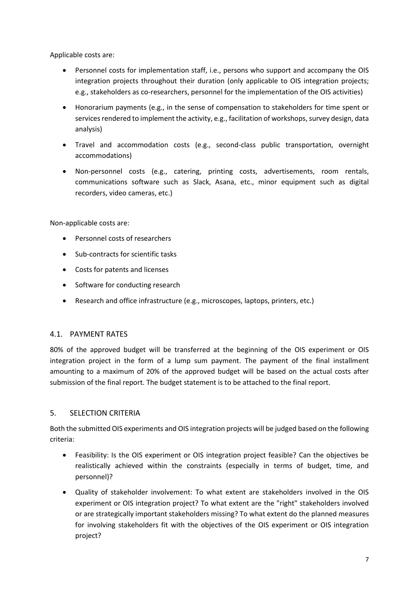Applicable costs are:

- Personnel costs for implementation staff, i.e., persons who support and accompany the OIS integration projects throughout their duration (only applicable to OIS integration projects; e.g., stakeholders as co-researchers, personnel for the implementation of the OIS activities)
- Honorarium payments (e.g., in the sense of compensation to stakeholders for time spent or services rendered to implement the activity, e.g., facilitation of workshops, survey design, data analysis)
- Travel and accommodation costs (e.g., second-class public transportation, overnight accommodations)
- Non-personnel costs (e.g., catering, printing costs, advertisements, room rentals, communications software such as Slack, Asana, etc., minor equipment such as digital recorders, video cameras, etc.)

Non-applicable costs are:

- Personnel costs of researchers
- Sub-contracts for scientific tasks
- Costs for patents and licenses
- Software for conducting research
- Research and office infrastructure (e.g., microscopes, laptops, printers, etc.)

#### <span id="page-7-0"></span>4.1. PAYMENT RATES

80% of the approved budget will be transferred at the beginning of the OIS experiment or OIS integration project in the form of a lump sum payment. The payment of the final installment amounting to a maximum of 20% of the approved budget will be based on the actual costs after submission of the final report. The budget statement is to be attached to the final report.

#### <span id="page-7-1"></span>5. SELECTION CRITERIA

Both the submitted OIS experiments and OIS integration projects will be judged based on the following criteria:

- Feasibility: Is the OIS experiment or OIS integration project feasible? Can the objectives be realistically achieved within the constraints (especially in terms of budget, time, and personnel)?
- Quality of stakeholder involvement: To what extent are stakeholders involved in the OIS experiment or OIS integration project? To what extent are the "right" stakeholders involved or are strategically important stakeholders missing? To what extent do the planned measures for involving stakeholders fit with the objectives of the OIS experiment or OIS integration project?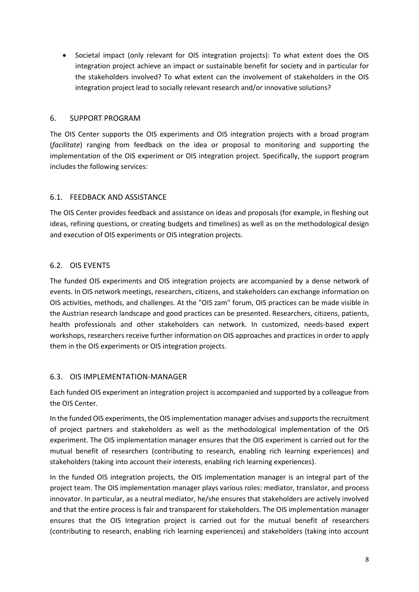Societal impact (only relevant for OIS integration projects): To what extent does the OIS integration project achieve an impact or sustainable benefit for society and in particular for the stakeholders involved? To what extent can the involvement of stakeholders in the OIS integration project lead to socially relevant research and/or innovative solutions?

#### <span id="page-8-0"></span>6. SUPPORT PROGRAM

The OIS Center supports the OIS experiments and OIS integration projects with a broad program (*facilitate*) ranging from feedback on the idea or proposal to monitoring and supporting the implementation of the OIS experiment or OIS integration project. Specifically, the support program includes the following services:

#### <span id="page-8-1"></span>6.1. FEEDBACK AND ASSISTANCE

The OIS Center provides feedback and assistance on ideas and proposals (for example, in fleshing out ideas, refining questions, or creating budgets and timelines) as well as on the methodological design and execution of OIS experiments or OIS integration projects.

# <span id="page-8-2"></span>6.2. OIS EVENTS

The funded OIS experiments and OIS integration projects are accompanied by a dense network of events. In OIS network meetings, researchers, citizens, and stakeholders can exchange information on OIS activities, methods, and challenges. At the "OIS zam" forum, OIS practices can be made visible in the Austrian research landscape and good practices can be presented. Researchers, citizens, patients, health professionals and other stakeholders can network. In customized, needs-based expert workshops, researchers receive further information on OIS approaches and practices in order to apply them in the OIS experiments or OIS integration projects.

# <span id="page-8-3"></span>6.3. OIS IMPLEMENTATION-MANAGER

Each funded OIS experiment an integration project is accompanied and supported by a colleague from the OIS Center.

In the funded OIS experiments, the OIS implementation manager advises and supports the recruitment of project partners and stakeholders as well as the methodological implementation of the OIS experiment. The OIS implementation manager ensures that the OIS experiment is carried out for the mutual benefit of researchers (contributing to research, enabling rich learning experiences) and stakeholders (taking into account their interests, enabling rich learning experiences).

In the funded OIS integration projects, the OIS implementation manager is an integral part of the project team. The OIS implementation manager plays various roles: mediator, translator, and process innovator. In particular, as a neutral mediator, he/she ensures that stakeholders are actively involved and that the entire process is fair and transparent for stakeholders. The OIS implementation manager ensures that the OIS Integration project is carried out for the mutual benefit of researchers (contributing to research, enabling rich learning experiences) and stakeholders (taking into account